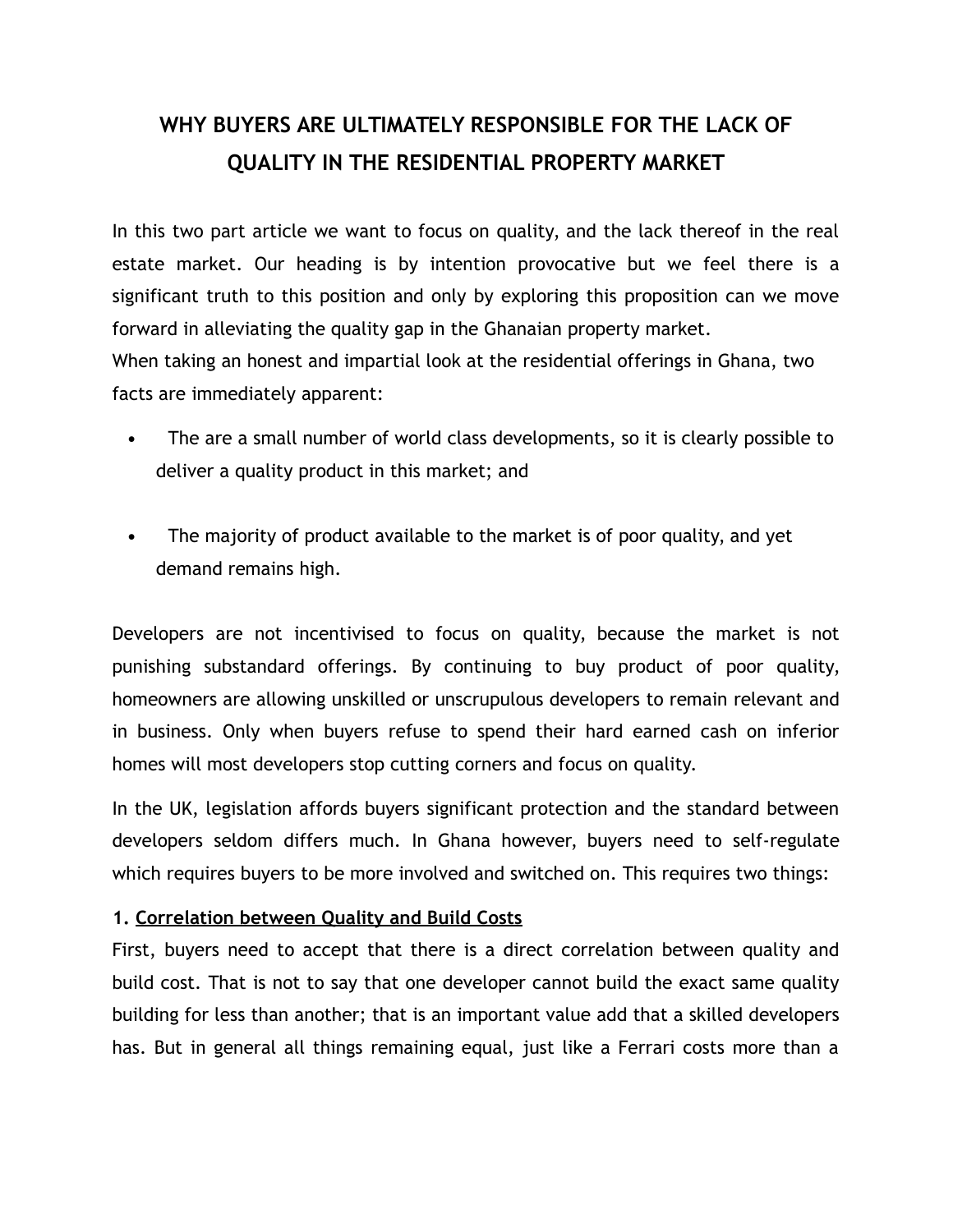## **WHY BUYERS ARE ULTIMATELY RESPONSIBLE FOR THE LACK OF QUALITY IN THE RESIDENTIAL PROPERTY MARKET**

In this two part article we want to focus on quality, and the lack thereof in the real estate market. Our heading is by intention provocative but we feel there is a significant truth to this position and only by exploring this proposition can we move forward in alleviating the quality gap in the Ghanaian property market. When taking an honest and impartial look at the residential offerings in Ghana, two

facts are immediately apparent:

- The are a small number of world class developments, so it is clearly possible to deliver a quality product in this market; and
- The majority of product available to the market is of poor quality, and yet demand remains high.

Developers are not incentivised to focus on quality, because the market is not punishing substandard offerings. By continuing to buy product of poor quality, homeowners are allowing unskilled or unscrupulous developers to remain relevant and in business. Only when buyers refuse to spend their hard earned cash on inferior homes will most developers stop cutting corners and focus on quality.

In the UK, legislation affords buyers significant protection and the standard between developers seldom differs much. In Ghana however, buyers need to self-regulate which requires buyers to be more involved and switched on. This requires two things:

## **1. Correlation between Quality and Build Costs**

First, buyers need to accept that there is a direct correlation between quality and build cost. That is not to say that one developer cannot build the exact same quality building for less than another; that is an important value add that a skilled developers has. But in general all things remaining equal, just like a Ferrari costs more than a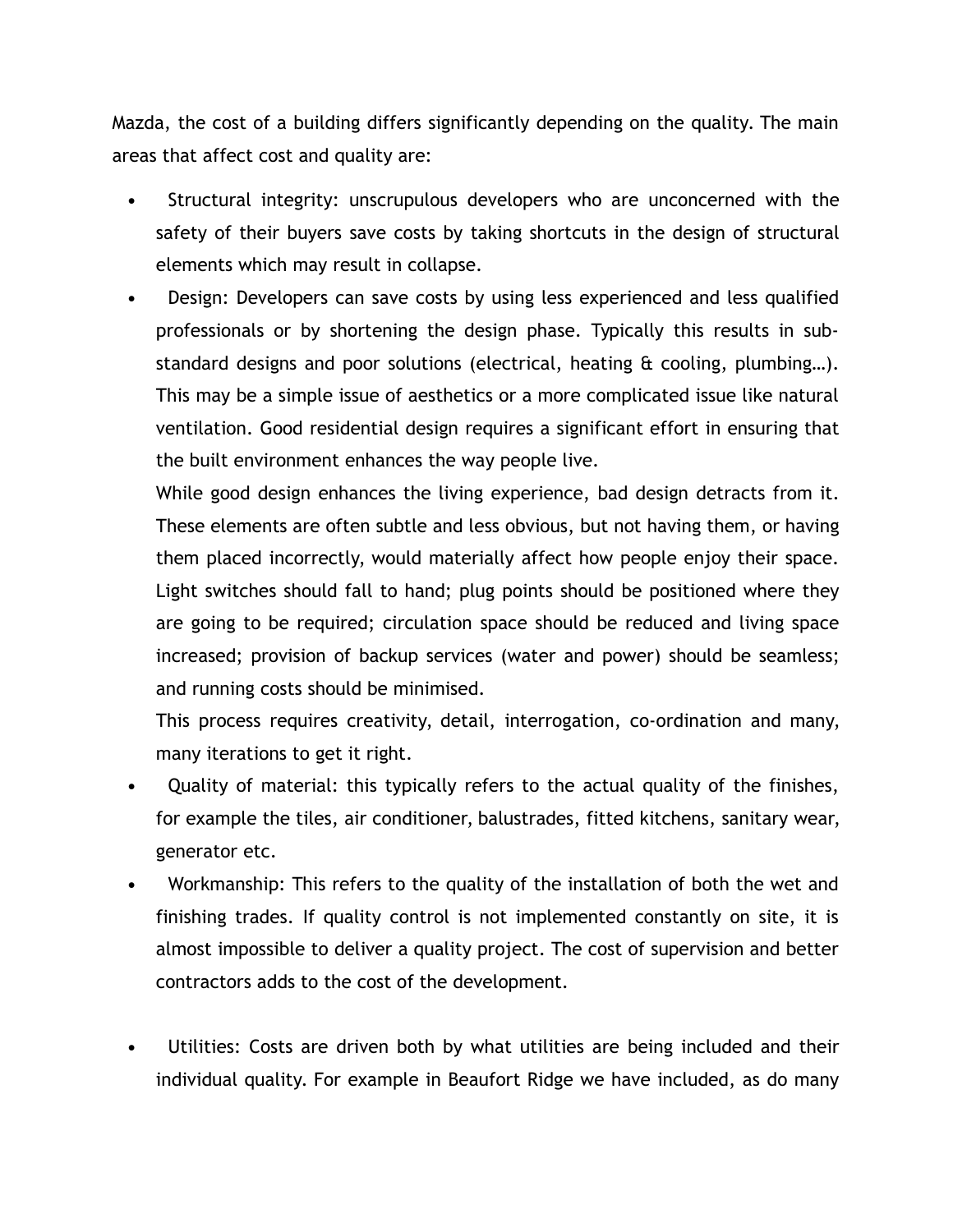Mazda, the cost of a building differs significantly depending on the quality. The main areas that affect cost and quality are:

- Structural integrity: unscrupulous developers who are unconcerned with the safety of their buyers save costs by taking shortcuts in the design of structural elements which may result in collapse.
- Design: Developers can save costs by using less experienced and less qualified professionals or by shortening the design phase. Typically this results in substandard designs and poor solutions (electrical, heating & cooling, plumbing…). This may be a simple issue of aesthetics or a more complicated issue like natural ventilation. Good residential design requires a significant effort in ensuring that the built environment enhances the way people live.

While good design enhances the living experience, bad design detracts from it. These elements are often subtle and less obvious, but not having them, or having them placed incorrectly, would materially affect how people enjoy their space. Light switches should fall to hand; plug points should be positioned where they are going to be required; circulation space should be reduced and living space increased; provision of backup services (water and power) should be seamless; and running costs should be minimised.

This process requires creativity, detail, interrogation, co-ordination and many, many iterations to get it right.

- Quality of material: this typically refers to the actual quality of the finishes, for example the tiles, air conditioner, balustrades, fitted kitchens, sanitary wear, generator etc.
- Workmanship: This refers to the quality of the installation of both the wet and finishing trades. If quality control is not implemented constantly on site, it is almost impossible to deliver a quality project. The cost of supervision and better contractors adds to the cost of the development.
- Utilities: Costs are driven both by what utilities are being included and their individual quality. For example in Beaufort Ridge we have included, as do many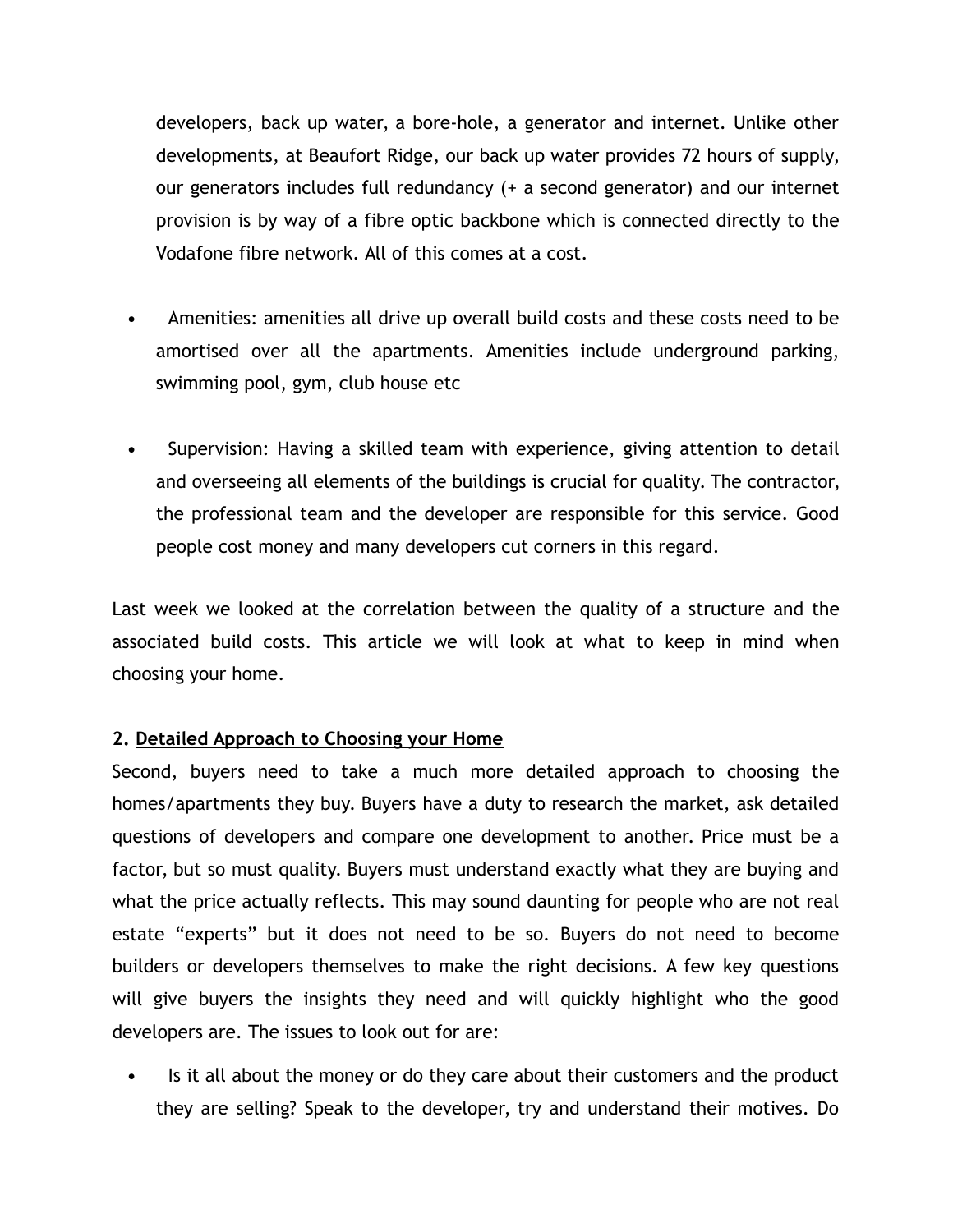developers, back up water, a bore-hole, a generator and internet. Unlike other developments, at Beaufort Ridge, our back up water provides 72 hours of supply, our generators includes full redundancy (+ a second generator) and our internet provision is by way of a fibre optic backbone which is connected directly to the Vodafone fibre network. All of this comes at a cost.

- Amenities: amenities all drive up overall build costs and these costs need to be amortised over all the apartments. Amenities include underground parking, swimming pool, gym, club house etc
- Supervision: Having a skilled team with experience, giving attention to detail and overseeing all elements of the buildings is crucial for quality. The contractor, the professional team and the developer are responsible for this service. Good people cost money and many developers cut corners in this regard.

Last week we looked at the correlation between the quality of a structure and the associated build costs. This article we will look at what to keep in mind when choosing your home.

## **2. Detailed Approach to Choosing your Home**

Second, buyers need to take a much more detailed approach to choosing the homes/apartments they buy. Buyers have a duty to research the market, ask detailed questions of developers and compare one development to another. Price must be a factor, but so must quality. Buyers must understand exactly what they are buying and what the price actually reflects. This may sound daunting for people who are not real estate "experts" but it does not need to be so. Buyers do not need to become builders or developers themselves to make the right decisions. A few key questions will give buyers the insights they need and will quickly highlight who the good developers are. The issues to look out for are:

 Is it all about the money or do they care about their customers and the product they are selling? Speak to the developer, try and understand their motives. Do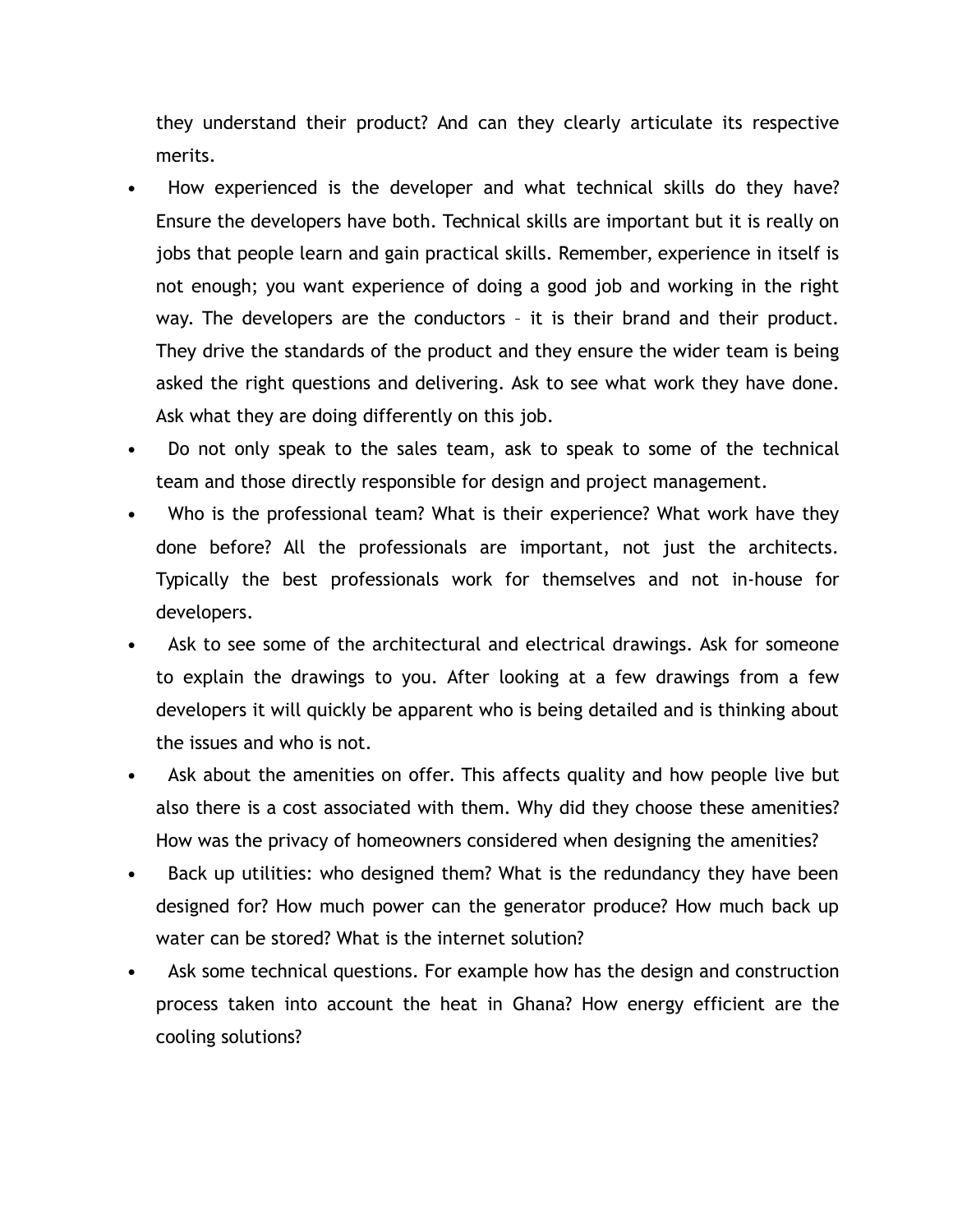they understand their product? And can they clearly articulate its respective merits.

- How experienced is the developer and what technical skills do they have? Ensure the developers have both. Technical skills are important but it is really on jobs that people learn and gain practical skills. Remember, experience in itself is not enough; you want experience of doing a good job and working in the right way. The developers are the conductors – it is their brand and their product. They drive the standards of the product and they ensure the wider team is being asked the right questions and delivering. Ask to see what work they have done. Ask what they are doing differently on this job.
- Do not only speak to the sales team, ask to speak to some of the technical team and those directly responsible for design and project management.
- Who is the professional team? What is their experience? What work have they done before? All the professionals are important, not just the architects. Typically the best professionals work for themselves and not in-house for developers.
- Ask to see some of the architectural and electrical drawings. Ask for someone to explain the drawings to you. After looking at a few drawings from a few developers it will quickly be apparent who is being detailed and is thinking about the issues and who is not.
- Ask about the amenities on offer. This affects quality and how people live but also there is a cost associated with them. Why did they choose these amenities? How was the privacy of homeowners considered when designing the amenities?
- Back up utilities: who designed them? What is the redundancy they have been designed for? How much power can the generator produce? How much back up water can be stored? What is the internet solution?
- Ask some technical questions. For example how has the design and construction process taken into account the heat in Ghana? How energy efficient are the cooling solutions?